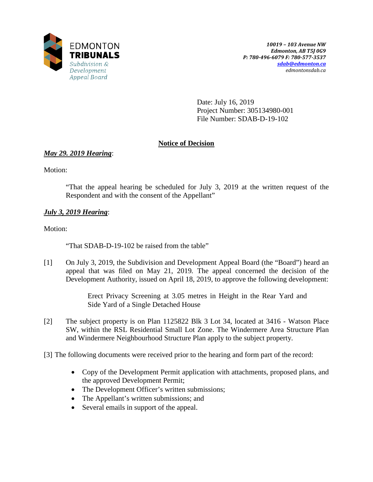

Date: July 16, 2019 Project Number: 305134980-001 File Number: SDAB-D-19-102

# **Notice of Decision**

# *May 29. 2019 Hearing*:

Motion:

"That the appeal hearing be scheduled for July 3, 2019 at the written request of the Respondent and with the consent of the Appellant"

# *July 3, 2019 Hearing*:

Motion:

"That SDAB-D-19-102 be raised from the table"

[1] On July 3, 2019, the Subdivision and Development Appeal Board (the "Board") heard an appeal that was filed on May 21, 2019*.* The appeal concerned the decision of the Development Authority, issued on April 18, 2019, to approve the following development:

> Erect Privacy Screening at 3.05 metres in Height in the Rear Yard and Side Yard of a Single Detached House

- [2] The subject property is on Plan 1125822 Blk 3 Lot 34, located at 3416 Watson Place SW, within the RSL Residential Small Lot Zone. The Windermere Area Structure Plan and Windermere Neighbourhood Structure Plan apply to the subject property.
- [3] The following documents were received prior to the hearing and form part of the record:
	- Copy of the Development Permit application with attachments, proposed plans, and the approved Development Permit;
	- The Development Officer's written submissions;
	- The Appellant's written submissions; and
	- Several emails in support of the appeal.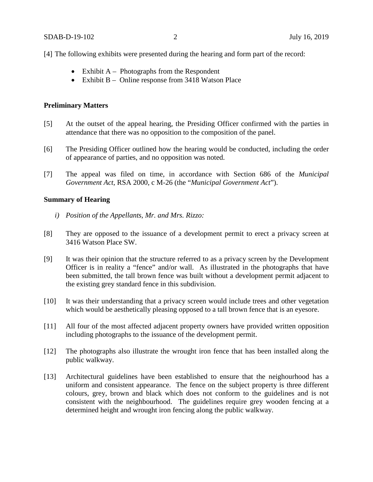[4] The following exhibits were presented during the hearing and form part of the record:

- Exhibit  $A -$  Photographs from the Respondent
- Exhibit B Online response from 3418 Watson Place

#### **Preliminary Matters**

- [5] At the outset of the appeal hearing, the Presiding Officer confirmed with the parties in attendance that there was no opposition to the composition of the panel.
- [6] The Presiding Officer outlined how the hearing would be conducted, including the order of appearance of parties, and no opposition was noted.
- [7] The appeal was filed on time, in accordance with Section 686 of the *Municipal Government Act*, RSA 2000, c M-26 (the "*Municipal Government Act*").

#### **Summary of Hearing**

- *i) Position of the Appellants, Mr. and Mrs. Rizzo:*
- [8] They are opposed to the issuance of a development permit to erect a privacy screen at 3416 Watson Place SW.
- [9] It was their opinion that the structure referred to as a privacy screen by the Development Officer is in reality a "fence" and/or wall. As illustrated in the photographs that have been submitted, the tall brown fence was built without a development permit adjacent to the existing grey standard fence in this subdivision.
- [10] It was their understanding that a privacy screen would include trees and other vegetation which would be aesthetically pleasing opposed to a tall brown fence that is an eyesore.
- [11] All four of the most affected adjacent property owners have provided written opposition including photographs to the issuance of the development permit.
- [12] The photographs also illustrate the wrought iron fence that has been installed along the public walkway.
- [13] Architectural guidelines have been established to ensure that the neighourhood has a uniform and consistent appearance. The fence on the subject property is three different colours, grey, brown and black which does not conform to the guidelines and is not consistent with the neighbourhood. The guidelines require grey wooden fencing at a determined height and wrought iron fencing along the public walkway.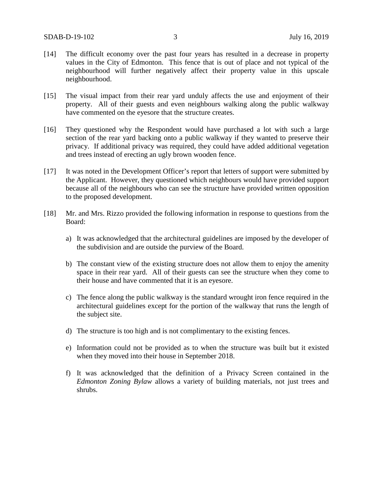- [14] The difficult economy over the past four years has resulted in a decrease in property values in the City of Edmonton. This fence that is out of place and not typical of the neighbourhood will further negatively affect their property value in this upscale neighbourhood.
- [15] The visual impact from their rear yard unduly affects the use and enjoyment of their property. All of their guests and even neighbours walking along the public walkway have commented on the eyesore that the structure creates.
- [16] They questioned why the Respondent would have purchased a lot with such a large section of the rear yard backing onto a public walkway if they wanted to preserve their privacy. If additional privacy was required, they could have added additional vegetation and trees instead of erecting an ugly brown wooden fence.
- [17] It was noted in the Development Officer's report that letters of support were submitted by the Applicant. However, they questioned which neighbours would have provided support because all of the neighbours who can see the structure have provided written opposition to the proposed development.
- [18] Mr. and Mrs. Rizzo provided the following information in response to questions from the Board:
	- a) It was acknowledged that the architectural guidelines are imposed by the developer of the subdivision and are outside the purview of the Board.
	- b) The constant view of the existing structure does not allow them to enjoy the amenity space in their rear yard. All of their guests can see the structure when they come to their house and have commented that it is an eyesore.
	- c) The fence along the public walkway is the standard wrought iron fence required in the architectural guidelines except for the portion of the walkway that runs the length of the subject site.
	- d) The structure is too high and is not complimentary to the existing fences.
	- e) Information could not be provided as to when the structure was built but it existed when they moved into their house in September 2018.
	- f) It was acknowledged that the definition of a Privacy Screen contained in the *Edmonton Zoning Bylaw* allows a variety of building materials, not just trees and shrubs.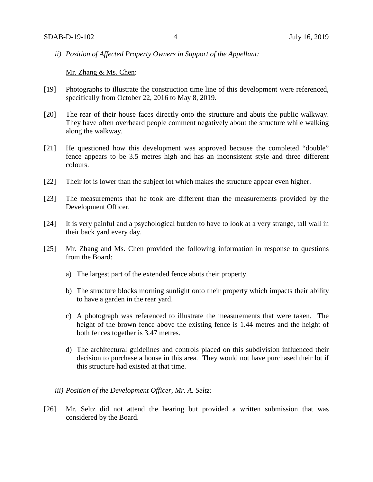*ii) Position of Affected Property Owners in Support of the Appellant:*

Mr. Zhang & Ms. Chen:

- [19] Photographs to illustrate the construction time line of this development were referenced, specifically from October 22, 2016 to May 8, 2019.
- [20] The rear of their house faces directly onto the structure and abuts the public walkway. They have often overheard people comment negatively about the structure while walking along the walkway.
- [21] He questioned how this development was approved because the completed "double" fence appears to be 3.5 metres high and has an inconsistent style and three different colours.
- [22] Their lot is lower than the subject lot which makes the structure appear even higher.
- [23] The measurements that he took are different than the measurements provided by the Development Officer.
- [24] It is very painful and a psychological burden to have to look at a very strange, tall wall in their back yard every day.
- [25] Mr. Zhang and Ms. Chen provided the following information in response to questions from the Board:
	- a) The largest part of the extended fence abuts their property.
	- b) The structure blocks morning sunlight onto their property which impacts their ability to have a garden in the rear yard.
	- c) A photograph was referenced to illustrate the measurements that were taken. The height of the brown fence above the existing fence is 1.44 metres and the height of both fences together is 3.47 metres.
	- d) The architectural guidelines and controls placed on this subdivision influenced their decision to purchase a house in this area. They would not have purchased their lot if this structure had existed at that time.
	- *iii) Position of the Development Officer, Mr. A. Seltz:*
- [26] Mr. Seltz did not attend the hearing but provided a written submission that was considered by the Board.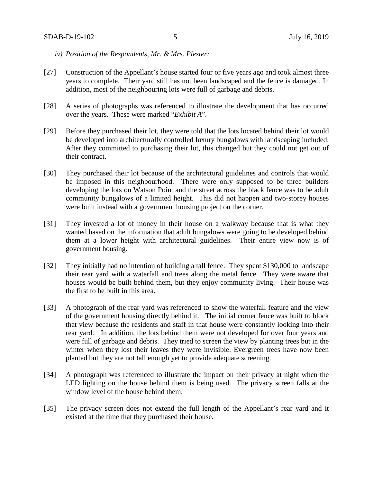- *iv) Position of the Respondents, Mr. & Mrs. Plester:*
- [27] Construction of the Appellant's house started four or five years ago and took almost three years to complete. Their yard still has not been landscaped and the fence is damaged. In addition, most of the neighbouring lots were full of garbage and debris.
- [28] A series of photographs was referenced to illustrate the development that has occurred over the years. These were marked "*Exhibit A*".
- [29] Before they purchased their lot, they were told that the lots located behind their lot would be developed into architecturally controlled luxury bungalows with landscaping included. After they committed to purchasing their lot, this changed but they could not get out of their contract.
- [30] They purchased their lot because of the architectural guidelines and controls that would be imposed in this neighbourhood. There were only supposed to be three builders developing the lots on Watson Point and the street across the black fence was to be adult community bungalows of a limited height. This did not happen and two-storey houses were built instead with a government housing project on the corner.
- [31] They invested a lot of money in their house on a walkway because that is what they wanted based on the information that adult bungalows were going to be developed behind them at a lower height with architectural guidelines. Their entire view now is of government housing.
- [32] They initially had no intention of building a tall fence. They spent \$130,000 to landscape their rear yard with a waterfall and trees along the metal fence. They were aware that houses would be built behind them, but they enjoy community living. Their house was the first to be built in this area.
- [33] A photograph of the rear yard was referenced to show the waterfall feature and the view of the government housing directly behind it. The initial corner fence was built to block that view because the residents and staff in that house were constantly looking into their rear yard. In addition, the lots behind them were not developed for over four years and were full of garbage and debris. They tried to screen the view by planting trees but in the winter when they lost their leaves they were invisible. Evergreen trees have now been planted but they are not tall enough yet to provide adequate screening.
- [34] A photograph was referenced to illustrate the impact on their privacy at night when the LED lighting on the house behind them is being used. The privacy screen falls at the window level of the house behind them.
- [35] The privacy screen does not extend the full length of the Appellant's rear yard and it existed at the time that they purchased their house.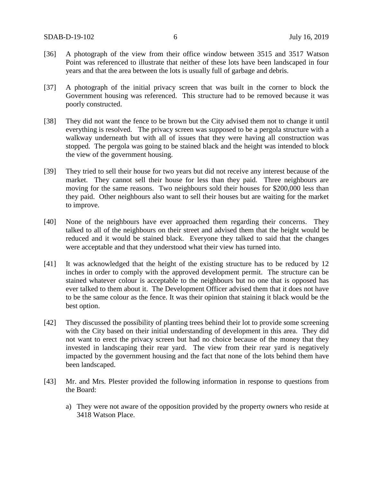- [36] A photograph of the view from their office window between 3515 and 3517 Watson Point was referenced to illustrate that neither of these lots have been landscaped in four years and that the area between the lots is usually full of garbage and debris.
- [37] A photograph of the initial privacy screen that was built in the corner to block the Government housing was referenced. This structure had to be removed because it was poorly constructed.
- [38] They did not want the fence to be brown but the City advised them not to change it until everything is resolved. The privacy screen was supposed to be a pergola structure with a walkway underneath but with all of issues that they were having all construction was stopped. The pergola was going to be stained black and the height was intended to block the view of the government housing.
- [39] They tried to sell their house for two years but did not receive any interest because of the market. They cannot sell their house for less than they paid. Three neighbours are moving for the same reasons. Two neighbours sold their houses for \$200,000 less than they paid. Other neighbours also want to sell their houses but are waiting for the market to improve.
- [40] None of the neighbours have ever approached them regarding their concerns. They talked to all of the neighbours on their street and advised them that the height would be reduced and it would be stained black. Everyone they talked to said that the changes were acceptable and that they understood what their view has turned into.
- [41] It was acknowledged that the height of the existing structure has to be reduced by 12 inches in order to comply with the approved development permit. The structure can be stained whatever colour is acceptable to the neighbours but no one that is opposed has ever talked to them about it. The Development Officer advised them that it does not have to be the same colour as the fence. It was their opinion that staining it black would be the best option.
- [42] They discussed the possibility of planting trees behind their lot to provide some screening with the City based on their initial understanding of development in this area. They did not want to erect the privacy screen but had no choice because of the money that they invested in landscaping their rear yard. The view from their rear yard is negatively impacted by the government housing and the fact that none of the lots behind them have been landscaped.
- [43] Mr. and Mrs. Plester provided the following information in response to questions from the Board:
	- a) They were not aware of the opposition provided by the property owners who reside at 3418 Watson Place.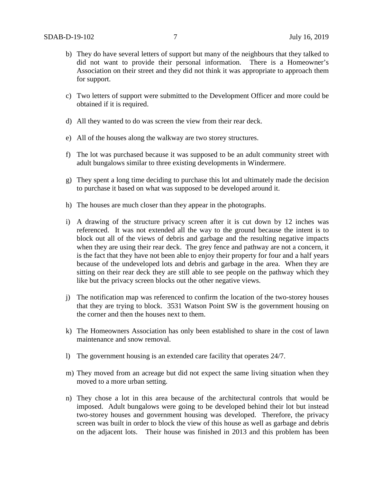- b) They do have several letters of support but many of the neighbours that they talked to did not want to provide their personal information. There is a Homeowner's Association on their street and they did not think it was appropriate to approach them for support.
- c) Two letters of support were submitted to the Development Officer and more could be obtained if it is required.
- d) All they wanted to do was screen the view from their rear deck.
- e) All of the houses along the walkway are two storey structures.
- f) The lot was purchased because it was supposed to be an adult community street with adult bungalows similar to three existing developments in Windermere.
- g) They spent a long time deciding to purchase this lot and ultimately made the decision to purchase it based on what was supposed to be developed around it.
- h) The houses are much closer than they appear in the photographs.
- i) A drawing of the structure privacy screen after it is cut down by 12 inches was referenced. It was not extended all the way to the ground because the intent is to block out all of the views of debris and garbage and the resulting negative impacts when they are using their rear deck. The grey fence and pathway are not a concern, it is the fact that they have not been able to enjoy their property for four and a half years because of the undeveloped lots and debris and garbage in the area. When they are sitting on their rear deck they are still able to see people on the pathway which they like but the privacy screen blocks out the other negative views.
- j) The notification map was referenced to confirm the location of the two-storey houses that they are trying to block. 3531 Watson Point SW is the government housing on the corner and then the houses next to them.
- k) The Homeowners Association has only been established to share in the cost of lawn maintenance and snow removal.
- l) The government housing is an extended care facility that operates 24/7.
- m) They moved from an acreage but did not expect the same living situation when they moved to a more urban setting.
- n) They chose a lot in this area because of the architectural controls that would be imposed. Adult bungalows were going to be developed behind their lot but instead two-storey houses and government housing was developed. Therefore, the privacy screen was built in order to block the view of this house as well as garbage and debris on the adjacent lots. Their house was finished in 2013 and this problem has been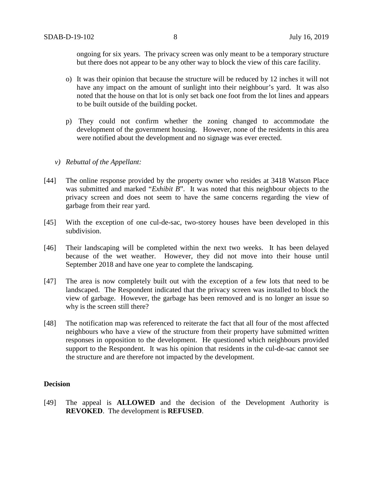ongoing for six years. The privacy screen was only meant to be a temporary structure but there does not appear to be any other way to block the view of this care facility.

- o) It was their opinion that because the structure will be reduced by 12 inches it will not have any impact on the amount of sunlight into their neighbour's yard. It was also noted that the house on that lot is only set back one foot from the lot lines and appears to be built outside of the building pocket.
- p) They could not confirm whether the zoning changed to accommodate the development of the government housing. However, none of the residents in this area were notified about the development and no signage was ever erected.

### *v) Rebuttal of the Appellant:*

- [44] The online response provided by the property owner who resides at 3418 Watson Place was submitted and marked "*Exhibit B*". It was noted that this neighbour objects to the privacy screen and does not seem to have the same concerns regarding the view of garbage from their rear yard.
- [45] With the exception of one cul-de-sac, two-storey houses have been developed in this subdivision.
- [46] Their landscaping will be completed within the next two weeks. It has been delayed because of the wet weather. However, they did not move into their house until September 2018 and have one year to complete the landscaping.
- [47] The area is now completely built out with the exception of a few lots that need to be landscaped. The Respondent indicated that the privacy screen was installed to block the view of garbage. However, the garbage has been removed and is no longer an issue so why is the screen still there?
- [48] The notification map was referenced to reiterate the fact that all four of the most affected neighbours who have a view of the structure from their property have submitted written responses in opposition to the development. He questioned which neighbours provided support to the Respondent. It was his opinion that residents in the cul-de-sac cannot see the structure and are therefore not impacted by the development.

# **Decision**

[49] The appeal is **ALLOWED** and the decision of the Development Authority is **REVOKED**. The development is **REFUSED**.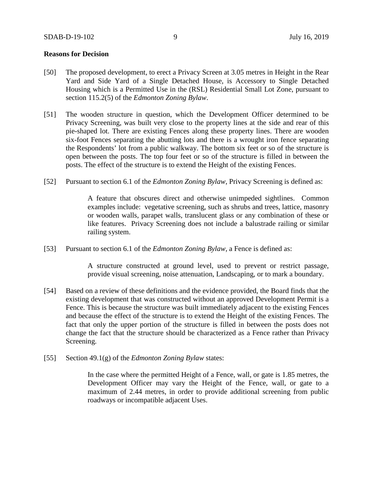### **Reasons for Decision**

- [50] The proposed development, to erect a Privacy Screen at 3.05 metres in Height in the Rear Yard and Side Yard of a Single Detached House, is Accessory to Single Detached Housing which is a Permitted Use in the (RSL) Residential Small Lot Zone, pursuant to section 115.2(5) of the *Edmonton Zoning Bylaw*.
- [51] The wooden structure in question, which the Development Officer determined to be Privacy Screening, was built very close to the property lines at the side and rear of this pie-shaped lot. There are existing Fences along these property lines. There are wooden six-foot Fences separating the abutting lots and there is a wrought iron fence separating the Respondents' lot from a public walkway. The bottom six feet or so of the structure is open between the posts. The top four feet or so of the structure is filled in between the posts. The effect of the structure is to extend the Height of the existing Fences.
- [52] Pursuant to section 6.1 of the *Edmonton Zoning Bylaw*, Privacy Screening is defined as:

A feature that obscures direct and otherwise unimpeded sightlines. Common examples include: vegetative screening, such as shrubs and trees, lattice, masonry or wooden walls, parapet walls, translucent glass or any combination of these or like features. Privacy Screening does not include a balustrade railing or similar railing system.

[53] Pursuant to section 6.1 of the *Edmonton Zoning Bylaw*, a Fence is defined as:

A structure constructed at ground level, used to prevent or restrict passage, provide visual screening, noise attenuation, Landscaping, or to mark a boundary.

- [54] Based on a review of these definitions and the evidence provided, the Board finds that the existing development that was constructed without an approved Development Permit is a Fence. This is because the structure was built immediately adjacent to the existing Fences and because the effect of the structure is to extend the Height of the existing Fences. The fact that only the upper portion of the structure is filled in between the posts does not change the fact that the structure should be characterized as a Fence rather than Privacy Screening.
- [55] Section 49.1(g) of the *Edmonton Zoning Bylaw* states:

In the case where the permitted Height of a Fence, wall, or gate is 1.85 metres, the Development Officer may vary the Height of the Fence, wall, or gate to a maximum of 2.44 metres, in order to provide additional screening from public roadways or incompatible adjacent Uses.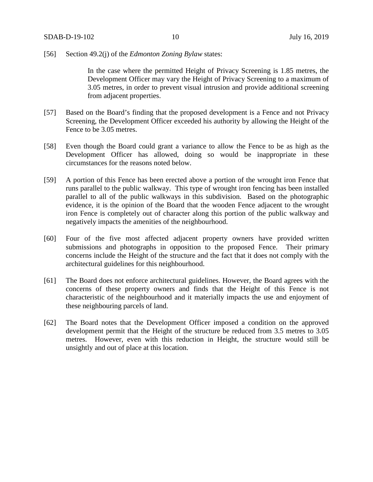### [56] Section 49.2(j) of the *Edmonton Zoning Bylaw* states:

In the case where the permitted Height of Privacy Screening is 1.85 metres, the Development Officer may vary the Height of Privacy Screening to a maximum of 3.05 metres, in order to prevent visual intrusion and provide additional screening from adjacent properties.

- [57] Based on the Board's finding that the proposed development is a Fence and not Privacy Screening, the Development Officer exceeded his authority by allowing the Height of the Fence to be 3.05 metres.
- [58] Even though the Board could grant a variance to allow the Fence to be as high as the Development Officer has allowed, doing so would be inappropriate in these circumstances for the reasons noted below.
- [59] A portion of this Fence has been erected above a portion of the wrought iron Fence that runs parallel to the public walkway. This type of wrought iron fencing has been installed parallel to all of the public walkways in this subdivision. Based on the photographic evidence, it is the opinion of the Board that the wooden Fence adjacent to the wrought iron Fence is completely out of character along this portion of the public walkway and negatively impacts the amenities of the neighbourhood.
- [60] Four of the five most affected adjacent property owners have provided written submissions and photographs in opposition to the proposed Fence. Their primary concerns include the Height of the structure and the fact that it does not comply with the architectural guidelines for this neighbourhood.
- [61] The Board does not enforce architectural guidelines. However, the Board agrees with the concerns of these property owners and finds that the Height of this Fence is not characteristic of the neighbourhood and it materially impacts the use and enjoyment of these neighbouring parcels of land.
- [62] The Board notes that the Development Officer imposed a condition on the approved development permit that the Height of the structure be reduced from 3.5 metres to 3.05 metres. However, even with this reduction in Height, the structure would still be unsightly and out of place at this location.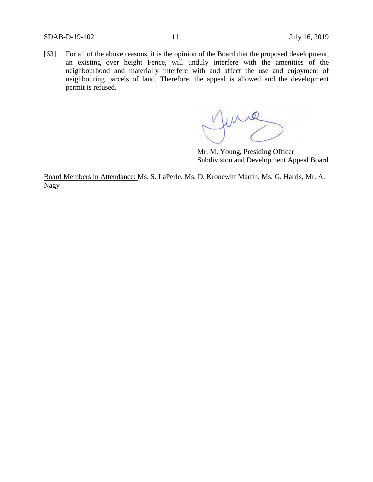[63] For all of the above reasons, it is the opinion of the Board that the proposed development, an existing over height Fence, will unduly interfere with the amenities of the neighbourhood and materially interfere with and affect the use and enjoyment of neighbouring parcels of land. Therefore, the appeal is allowed and the development permit is refused.

me

Mr. M. Young, Presiding Officer Subdivision and Development Appeal Board

Board Members in Attendance: Ms. S. LaPerle, Ms. D. Kronewitt Martin, Ms. G. Harris, Mr. A. Nagy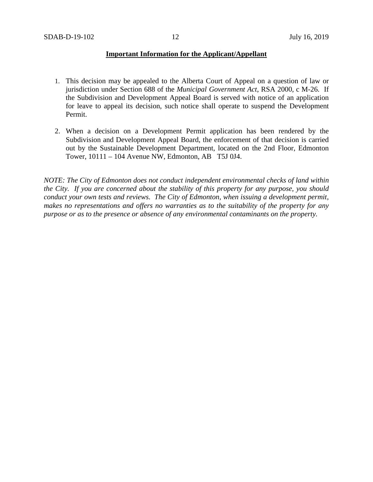# **Important Information for the Applicant/Appellant**

- 1. This decision may be appealed to the Alberta Court of Appeal on a question of law or jurisdiction under Section 688 of the *Municipal Government Act*, RSA 2000, c M-26. If the Subdivision and Development Appeal Board is served with notice of an application for leave to appeal its decision, such notice shall operate to suspend the Development Permit.
- 2. When a decision on a Development Permit application has been rendered by the Subdivision and Development Appeal Board, the enforcement of that decision is carried out by the Sustainable Development Department, located on the 2nd Floor, Edmonton Tower, 10111 – 104 Avenue NW, Edmonton, AB T5J 0J4.

*NOTE: The City of Edmonton does not conduct independent environmental checks of land within the City. If you are concerned about the stability of this property for any purpose, you should conduct your own tests and reviews. The City of Edmonton, when issuing a development permit, makes no representations and offers no warranties as to the suitability of the property for any purpose or as to the presence or absence of any environmental contaminants on the property.*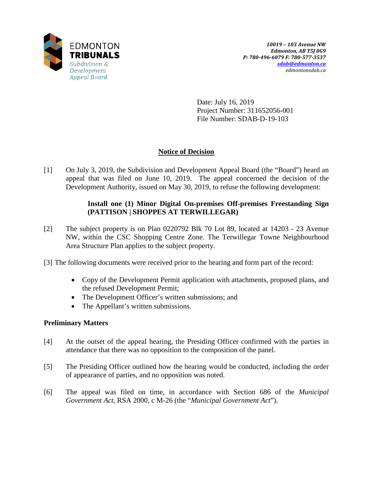

Date: July 16, 2019 Project Number: 311652056-001 File Number: SDAB-D-19-103

# **Notice of Decision**

[1] On July 3, 2019, the Subdivision and Development Appeal Board (the "Board") heard an appeal that was filed on June 10, 2019. The appeal concerned the decision of the Development Authority, issued on May 30, 2019, to refuse the following development:

# **Install one (1) Minor Digital On-premises Off-premises Freestanding Sign (PATTISON | SHOPPES AT TERWILLEGAR)**

- [2] The subject property is on Plan 0220792 Blk 70 Lot 89, located at 14203 23 Avenue NW, within the CSC Shopping Centre Zone. The Terwillegar Towne Neighbourhood Area Structure Plan applies to the subject property.
- [3] The following documents were received prior to the hearing and form part of the record:
	- Copy of the Development Permit application with attachments, proposed plans, and the refused Development Permit;
	- The Development Officer's written submissions; and
	- The Appellant's written submissions.

# **Preliminary Matters**

- [4] At the outset of the appeal hearing, the Presiding Officer confirmed with the parties in attendance that there was no opposition to the composition of the panel.
- [5] The Presiding Officer outlined how the hearing would be conducted, including the order of appearance of parties, and no opposition was noted.
- [6] The appeal was filed on time, in accordance with Section 686 of the *Municipal Government Act*, RSA 2000, c M-26 (the "*Municipal Government Act*").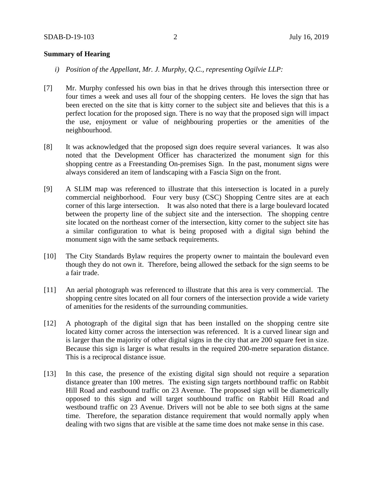### **Summary of Hearing**

- *i) Position of the Appellant, Mr. J. Murphy, Q.C., representing Ogilvie LLP:*
- [7] Mr. Murphy confessed his own bias in that he drives through this intersection three or four times a week and uses all four of the shopping centers. He loves the sign that has been erected on the site that is kitty corner to the subject site and believes that this is a perfect location for the proposed sign. There is no way that the proposed sign will impact the use, enjoyment or value of neighbouring properties or the amenities of the neighbourhood.
- [8] It was acknowledged that the proposed sign does require several variances. It was also noted that the Development Officer has characterized the monument sign for this shopping centre as a Freestanding On-premises Sign. In the past, monument signs were always considered an item of landscaping with a Fascia Sign on the front.
- [9] A SLIM map was referenced to illustrate that this intersection is located in a purely commercial neighborhood. Four very busy (CSC) Shopping Centre sites are at each corner of this large intersection. It was also noted that there is a large boulevard located between the property line of the subject site and the intersection. The shopping centre site located on the northeast corner of the intersection, kitty corner to the subject site has a similar configuration to what is being proposed with a digital sign behind the monument sign with the same setback requirements.
- [10] The City Standards Bylaw requires the property owner to maintain the boulevard even though they do not own it. Therefore, being allowed the setback for the sign seems to be a fair trade.
- [11] An aerial photograph was referenced to illustrate that this area is very commercial. The shopping centre sites located on all four corners of the intersection provide a wide variety of amenities for the residents of the surrounding communities.
- [12] A photograph of the digital sign that has been installed on the shopping centre site located kitty corner across the intersection was referenced. It is a curved linear sign and is larger than the majority of other digital signs in the city that are 200 square feet in size. Because this sign is larger is what results in the required 200-metre separation distance. This is a reciprocal distance issue.
- [13] In this case, the presence of the existing digital sign should not require a separation distance greater than 100 metres. The existing sign targets northbound traffic on Rabbit Hill Road and eastbound traffic on 23 Avenue. The proposed sign will be diametrically opposed to this sign and will target southbound traffic on Rabbit Hill Road and westbound traffic on 23 Avenue. Drivers will not be able to see both signs at the same time. Therefore, the separation distance requirement that would normally apply when dealing with two signs that are visible at the same time does not make sense in this case.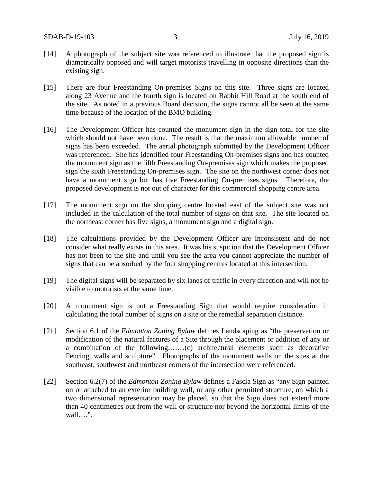- [14] A photograph of the subject site was referenced to illustrate that the proposed sign is diametrically opposed and will target motorists travelling in opposite directions than the existing sign.
- [15] There are four Freestanding On-premises Signs on this site. Three signs are located along 23 Avenue and the fourth sign is located on Rabbit Hill Road at the south end of the site. As noted in a previous Board decision, the signs cannot all be seen at the same time because of the location of the BMO building.
- [16] The Development Officer has counted the monument sign in the sign total for the site which should not have been done. The result is that the maximum allowable number of signs has been exceeded. The aerial photograph submitted by the Development Officer was referenced. She has identified four Freestanding On-premises signs and has counted the monument sign as the fifth Freestanding On-premises sign which makes the proposed sign the sixth Freestanding On-premises sign. The site on the northwest corner does not have a monument sign but has five Freestanding On-premises signs. Therefore, the proposed development is not out of character for this commercial shopping centre area.
- [17] The monument sign on the shopping centre located east of the subject site was not included in the calculation of the total number of signs on that site. The site located on the northeast corner has five signs, a monument sign and a digital sign.
- [18] The calculations provided by the Development Officer are inconsistent and do not consider what really exists in this area. It was his suspicion that the Development Officer has not been to the site and until you see the area you cannot appreciate the number of signs that can be absorbed by the four shopping centres located at this intersection.
- [19] The digital signs will be separated by six lanes of traffic in every direction and will not be visible to motorists at the same time.
- [20] A monument sign is not a Freestanding Sign that would require consideration in calculating the total number of signs on a site or the remedial separation distance.
- [21] Section 6.1 of the *Edmonton Zoning Bylaw* defines Landscaping as "the preservation or modification of the natural features of a Site through the placement or addition of any or a combination of the following:……(c) architectural elements such as decorative Fencing, walls and sculpture". Photographs of the monument walls on the sites at the southeast, southwest and northeast corners of the intersection were referenced.
- [22] Section 6.2(7) of the *Edmonton Zoning Bylaw* defines a Fascia Sign as "any Sign painted on or attached to an exterior building wall, or any other permitted structure, on which a two dimensional representation may be placed, so that the Sign does not extend more than 40 centimetres out from the wall or structure nor beyond the horizontal limits of the wall….".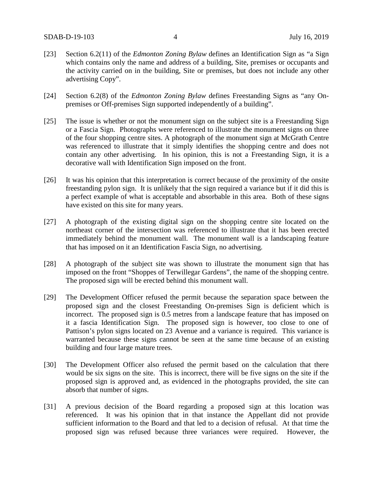- [23] Section 6.2(11) of the *Edmonton Zoning Bylaw* defines an Identification Sign as "a Sign which contains only the name and address of a building, Site, premises or occupants and the activity carried on in the building, Site or premises, but does not include any other advertising Copy".
- [24] Section 6.2(8) of the *Edmonton Zoning Bylaw* defines Freestanding Signs as "any Onpremises or Off-premises Sign supported independently of a building".
- [25] The issue is whether or not the monument sign on the subject site is a Freestanding Sign or a Fascia Sign. Photographs were referenced to illustrate the monument signs on three of the four shopping centre sites. A photograph of the monument sign at McGrath Centre was referenced to illustrate that it simply identifies the shopping centre and does not contain any other advertising. In his opinion, this is not a Freestanding Sign, it is a decorative wall with Identification Sign imposed on the front.
- [26] It was his opinion that this interpretation is correct because of the proximity of the onsite freestanding pylon sign. It is unlikely that the sign required a variance but if it did this is a perfect example of what is acceptable and absorbable in this area. Both of these signs have existed on this site for many years.
- [27] A photograph of the existing digital sign on the shopping centre site located on the northeast corner of the intersection was referenced to illustrate that it has been erected immediately behind the monument wall. The monument wall is a landscaping feature that has imposed on it an Identification Fascia Sign, no advertising.
- [28] A photograph of the subject site was shown to illustrate the monument sign that has imposed on the front "Shoppes of Terwillegar Gardens", the name of the shopping centre. The proposed sign will be erected behind this monument wall.
- [29] The Development Officer refused the permit because the separation space between the proposed sign and the closest Freestanding On-premises Sign is deficient which is incorrect. The proposed sign is 0.5 metres from a landscape feature that has imposed on it a fascia Identification Sign. The proposed sign is however, too close to one of Pattison's pylon signs located on 23 Avenue and a variance is required. This variance is warranted because these signs cannot be seen at the same time because of an existing building and four large mature trees.
- [30] The Development Officer also refused the permit based on the calculation that there would be six signs on the site. This is incorrect, there will be five signs on the site if the proposed sign is approved and, as evidenced in the photographs provided, the site can absorb that number of signs.
- [31] A previous decision of the Board regarding a proposed sign at this location was referenced. It was his opinion that in that instance the Appellant did not provide sufficient information to the Board and that led to a decision of refusal. At that time the proposed sign was refused because three variances were required. However, the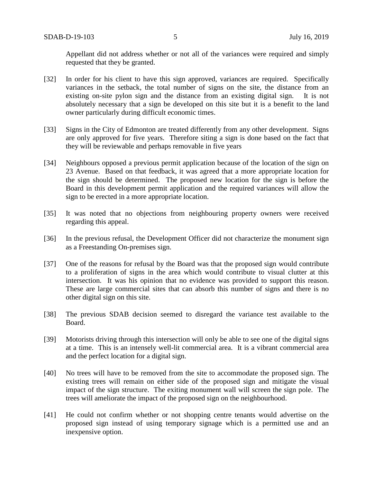Appellant did not address whether or not all of the variances were required and simply requested that they be granted.

- [32] In order for his client to have this sign approved, variances are required. Specifically variances in the setback, the total number of signs on the site, the distance from an existing on-site pylon sign and the distance from an existing digital sign. It is not absolutely necessary that a sign be developed on this site but it is a benefit to the land owner particularly during difficult economic times.
- [33] Signs in the City of Edmonton are treated differently from any other development. Signs are only approved for five years. Therefore siting a sign is done based on the fact that they will be reviewable and perhaps removable in five years
- [34] Neighbours opposed a previous permit application because of the location of the sign on 23 Avenue. Based on that feedback, it was agreed that a more appropriate location for the sign should be determined. The proposed new location for the sign is before the Board in this development permit application and the required variances will allow the sign to be erected in a more appropriate location.
- [35] It was noted that no objections from neighbouring property owners were received regarding this appeal.
- [36] In the previous refusal, the Development Officer did not characterize the monument sign as a Freestanding On-premises sign.
- [37] One of the reasons for refusal by the Board was that the proposed sign would contribute to a proliferation of signs in the area which would contribute to visual clutter at this intersection. It was his opinion that no evidence was provided to support this reason. These are large commercial sites that can absorb this number of signs and there is no other digital sign on this site.
- [38] The previous SDAB decision seemed to disregard the variance test available to the Board.
- [39] Motorists driving through this intersection will only be able to see one of the digital signs at a time. This is an intensely well-lit commercial area. It is a vibrant commercial area and the perfect location for a digital sign.
- [40] No trees will have to be removed from the site to accommodate the proposed sign. The existing trees will remain on either side of the proposed sign and mitigate the visual impact of the sign structure. The exiting monument wall will screen the sign pole. The trees will ameliorate the impact of the proposed sign on the neighbourhood.
- [41] He could not confirm whether or not shopping centre tenants would advertise on the proposed sign instead of using temporary signage which is a permitted use and an inexpensive option.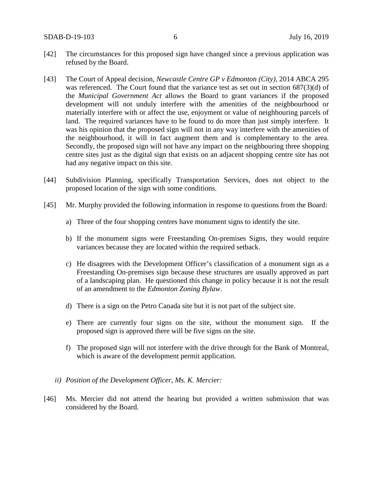- [42] The circumstances for this proposed sign have changed since a previous application was refused by the Board.
- [43] The Court of Appeal decision, *Newcastle Centre GP v Edmonton (City),* 2014 ABCA 295 was referenced. The Court found that the variance test as set out in section 687(3)(d) of the *Municipal Government Act* allows the Board to grant variances if the proposed development will not unduly interfere with the amenities of the neighbourhood or materially interfere with or affect the use, enjoyment or value of neighbouring parcels of land. The required variances have to be found to do more than just simply interfere. It was his opinion that the proposed sign will not in any way interfere with the amenities of the neighbourhood, it will in fact augment them and is complementary to the area. Secondly, the proposed sign will not have any impact on the neighbouring three shopping centre sites just as the digital sign that exists on an adjacent shopping centre site has not had any negative impact on this site.
- [44] Subdivision Planning, specifically Transportation Services, does not object to the proposed location of the sign with some conditions.
- [45] Mr. Murphy provided the following information in response to questions from the Board:
	- a) Three of the four shopping centres have monument signs to identify the site.
	- b) If the monument signs were Freestanding On-premises Signs, they would require variances because they are located within the required setback.
	- c) He disagrees with the Development Officer's classification of a monument sign as a Freestanding On-premises sign because these structures are usually approved as part of a landscaping plan. He questioned this change in policy because it is not the result of an amendment to the *Edmonton Zoning Bylaw*.
	- d) There is a sign on the Petro Canada site but it is not part of the subject site.
	- e) There are currently four signs on the site, without the monument sign. If the proposed sign is approved there will be five signs on the site.
	- f) The proposed sign will not interfere with the drive through for the Bank of Montreal, which is aware of the development permit application.
	- *ii) Position of the Development Officer, Ms. K. Mercier:*
- [46] Ms. Mercier did not attend the hearing but provided a written submission that was considered by the Board.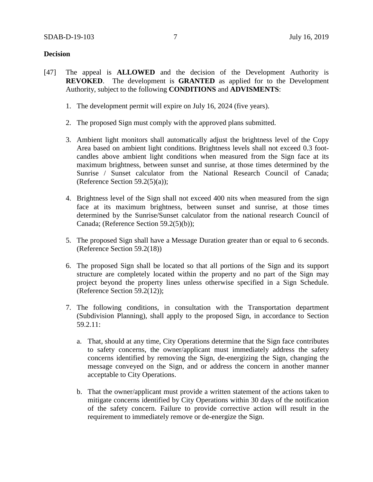# **Decision**

- [47] The appeal is **ALLOWED** and the decision of the Development Authority is **REVOKED**. The development is **GRANTED** as applied for to the Development Authority, subject to the following **CONDITIONS** and **ADVISMENTS**:
	- 1. The development permit will expire on July 16, 2024 (five years).
	- 2. The proposed Sign must comply with the approved plans submitted.
	- 3. Ambient light monitors shall automatically adjust the brightness level of the Copy Area based on ambient light conditions. Brightness levels shall not exceed 0.3 footcandles above ambient light conditions when measured from the Sign face at its maximum brightness, between sunset and sunrise, at those times determined by the Sunrise / Sunset calculator from the National Research Council of Canada; (Reference Section 59.2(5)(a));
	- 4. Brightness level of the Sign shall not exceed 400 nits when measured from the sign face at its maximum brightness, between sunset and sunrise, at those times determined by the Sunrise/Sunset calculator from the national research Council of Canada; (Reference Section 59.2(5)(b));
	- 5. The proposed Sign shall have a Message Duration greater than or equal to 6 seconds. (Reference Section 59.2(18))
	- 6. The proposed Sign shall be located so that all portions of the Sign and its support structure are completely located within the property and no part of the Sign may project beyond the property lines unless otherwise specified in a Sign Schedule. (Reference Section 59.2(12));
	- 7. The following conditions, in consultation with the Transportation department (Subdivision Planning), shall apply to the proposed Sign, in accordance to Section 59.2.11:
		- a. That, should at any time, City Operations determine that the Sign face contributes to safety concerns, the owner/applicant must immediately address the safety concerns identified by removing the Sign, de-energizing the Sign, changing the message conveyed on the Sign, and or address the concern in another manner acceptable to City Operations.
		- b. That the owner/applicant must provide a written statement of the actions taken to mitigate concerns identified by City Operations within 30 days of the notification of the safety concern. Failure to provide corrective action will result in the requirement to immediately remove or de-energize the Sign.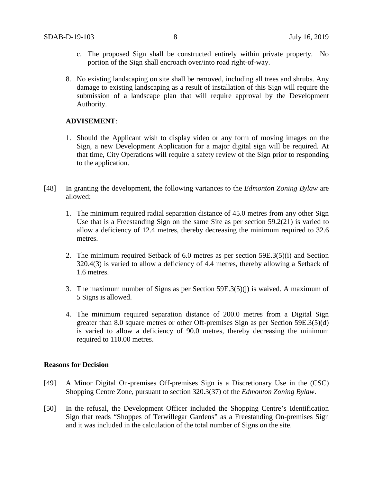- c. The proposed Sign shall be constructed entirely within private property. No portion of the Sign shall encroach over/into road right-of-way.
- 8. No existing landscaping on site shall be removed, including all trees and shrubs. Any damage to existing landscaping as a result of installation of this Sign will require the submission of a landscape plan that will require approval by the Development Authority.

### **ADVISEMENT**:

- 1. Should the Applicant wish to display video or any form of moving images on the Sign, a new Development Application for a major digital sign will be required. At that time, City Operations will require a safety review of the Sign prior to responding to the application.
- [48] In granting the development, the following variances to the *Edmonton Zoning Bylaw* are allowed:
	- 1. The minimum required radial separation distance of 45.0 metres from any other Sign Use that is a Freestanding Sign on the same Site as per section 59.2(21) is varied to allow a deficiency of 12.4 metres, thereby decreasing the minimum required to 32.6 metres.
	- 2. The minimum required Setback of 6.0 metres as per section 59E.3(5)(i) and Section 320.4(3) is varied to allow a deficiency of 4.4 metres, thereby allowing a Setback of 1.6 metres.
	- 3. The maximum number of Signs as per Section 59E.3(5)(j) is waived. A maximum of 5 Signs is allowed.
	- 4. The minimum required separation distance of 200.0 metres from a Digital Sign greater than 8.0 square metres or other Off-premises Sign as per Section 59E.3(5)(d) is varied to allow a deficiency of 90.0 metres, thereby decreasing the minimum required to 110.00 metres.

#### **Reasons for Decision**

- [49] A Minor Digital On-premises Off-premises Sign is a Discretionary Use in the (CSC) Shopping Centre Zone, pursuant to section 320.3(37) of the *Edmonton Zoning Bylaw*.
- [50] In the refusal, the Development Officer included the Shopping Centre's Identification Sign that reads "Shoppes of Terwillegar Gardens" as a Freestanding On-premises Sign and it was included in the calculation of the total number of Signs on the site.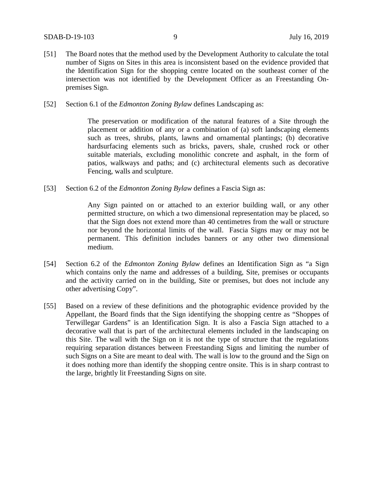- [51] The Board notes that the method used by the Development Authority to calculate the total number of Signs on Sites in this area is inconsistent based on the evidence provided that the Identification Sign for the shopping centre located on the southeast corner of the intersection was not identified by the Development Officer as an Freestanding Onpremises Sign.
- [52] Section 6.1 of the *Edmonton Zoning Bylaw* defines Landscaping as:

The preservation or modification of the natural features of a Site through the placement or addition of any or a combination of (a) soft landscaping elements such as trees, shrubs, plants, lawns and ornamental plantings; (b) decorative hardsurfacing elements such as bricks, pavers, shale, crushed rock or other suitable materials, excluding monolithic concrete and asphalt, in the form of patios, walkways and paths; and (c) architectural elements such as decorative Fencing, walls and sculpture.

[53] Section 6.2 of the *Edmonton Zoning Bylaw* defines a Fascia Sign as:

Any Sign painted on or attached to an exterior building wall, or any other permitted structure, on which a two dimensional representation may be placed, so that the Sign does not extend more than 40 centimetres from the wall or structure nor beyond the horizontal limits of the wall. Fascia Signs may or may not be permanent. This definition includes banners or any other two dimensional medium.

- [54] Section 6.2 of the *Edmonton Zoning Bylaw* defines an Identification Sign as "a Sign which contains only the name and addresses of a building, Site, premises or occupants and the activity carried on in the building, Site or premises, but does not include any other advertising Copy".
- [55] Based on a review of these definitions and the photographic evidence provided by the Appellant, the Board finds that the Sign identifying the shopping centre as "Shoppes of Terwillegar Gardens" is an Identification Sign. It is also a Fascia Sign attached to a decorative wall that is part of the architectural elements included in the landscaping on this Site. The wall with the Sign on it is not the type of structure that the regulations requiring separation distances between Freestanding Signs and limiting the number of such Signs on a Site are meant to deal with. The wall is low to the ground and the Sign on it does nothing more than identify the shopping centre onsite. This is in sharp contrast to the large, brightly lit Freestanding Signs on site.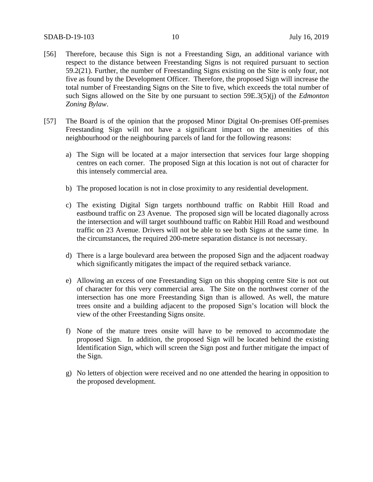- [56] Therefore, because this Sign is not a Freestanding Sign, an additional variance with respect to the distance between Freestanding Signs is not required pursuant to section 59.2(21). Further, the number of Freestanding Signs existing on the Site is only four, not five as found by the Development Officer. Therefore, the proposed Sign will increase the total number of Freestanding Signs on the Site to five, which exceeds the total number of such Signs allowed on the Site by one pursuant to section 59E.3(5)(j) of the *Edmonton Zoning Bylaw*.
- [57] The Board is of the opinion that the proposed Minor Digital On-premises Off-premises Freestanding Sign will not have a significant impact on the amenities of this neighbourhood or the neighbouring parcels of land for the following reasons:
	- a) The Sign will be located at a major intersection that services four large shopping centres on each corner. The proposed Sign at this location is not out of character for this intensely commercial area.
	- b) The proposed location is not in close proximity to any residential development.
	- c) The existing Digital Sign targets northbound traffic on Rabbit Hill Road and eastbound traffic on 23 Avenue. The proposed sign will be located diagonally across the intersection and will target southbound traffic on Rabbit Hill Road and westbound traffic on 23 Avenue. Drivers will not be able to see both Signs at the same time. In the circumstances, the required 200-metre separation distance is not necessary.
	- d) There is a large boulevard area between the proposed Sign and the adjacent roadway which significantly mitigates the impact of the required setback variance.
	- e) Allowing an excess of one Freestanding Sign on this shopping centre Site is not out of character for this very commercial area. The Site on the northwest corner of the intersection has one more Freestanding Sign than is allowed. As well, the mature trees onsite and a building adjacent to the proposed Sign's location will block the view of the other Freestanding Signs onsite.
	- f) None of the mature trees onsite will have to be removed to accommodate the proposed Sign. In addition, the proposed Sign will be located behind the existing Identification Sign, which will screen the Sign post and further mitigate the impact of the Sign.
	- g) No letters of objection were received and no one attended the hearing in opposition to the proposed development.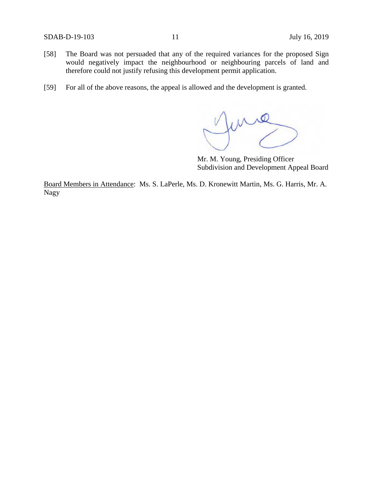- [58] The Board was not persuaded that any of the required variances for the proposed Sign would negatively impact the neighbourhood or neighbouring parcels of land and therefore could not justify refusing this development permit application.
- [59] For all of the above reasons, the appeal is allowed and the development is granted.

me

Mr. M. Young, Presiding Officer Subdivision and Development Appeal Board

Board Members in Attendance: Ms. S. LaPerle, Ms. D. Kronewitt Martin, Ms. G. Harris, Mr. A. Nagy